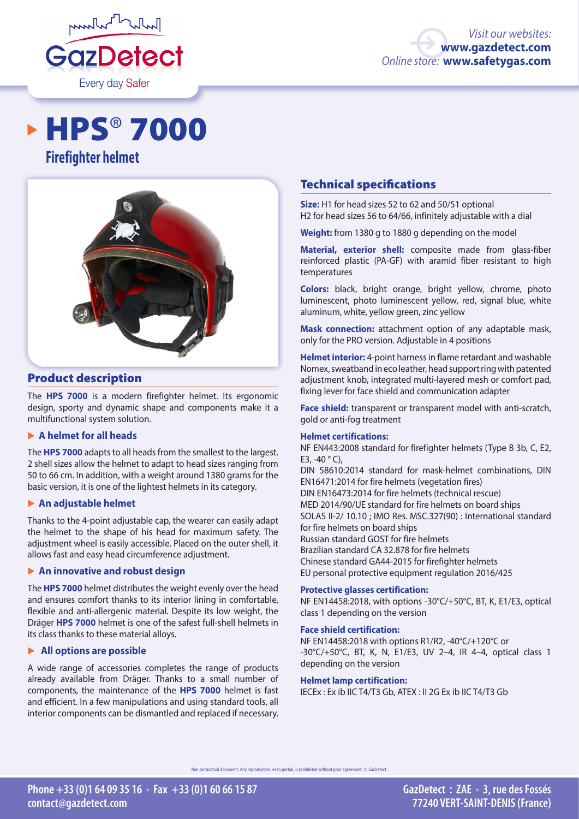

# **HPS® 7000**





# Product description

The **HPS 7000** is a modern firefighter helmet. Its ergonomic design, sporty and dynamic shape and components make it a multifunctional system solution.

# � **A helmet for all heads**

The **HPS 7000** adapts to all heads from the smallest to the largest. 2 shell sizes allow the helmet to adapt to head sizes ranging from 50 to 66 cm. In addition, with a weight around 1380 grams for the basic version, it is one of the lightest helmets in its category.

# � **An adjustable helmet**

Thanks to the 4-point adjustable cap, the wearer can easily adapt the helmet to the shape of his head for maximum safety. The adjustment wheel is easily accessible. Placed on the outer shell, it allows fast and easy head circumference adjustment.

# � **An innovative and robust design**

The **HPS 7000** helmet distributes the weight evenly over the head and ensures comfort thanks to its interior lining in comfortable, flexible and anti-allergenic material. Despite its low weight, the Dräger **HPS 7000** helmet is one of the safest full-shell helmets in its class thanks to these material alloys.

# � **All options are possible**

A wide range of accessories completes the range of products already available from Dräger. Thanks to a small number of components, the maintenance of the **HPS 7000** helmet is fast and efficient. In a few manipulations and using standard tools, all interior components can be dismantled and replaced if necessary.

# Technical specifications

**Size:** H1 for head sizes 52 to 62 and 50/51 optional H2 for head sizes 56 to 64/66, infinitely adjustable with a dial

**Weight:** from 1380 g to 1880 g depending on the model

**Material, exterior shell:** composite made from glass-fiber reinforced plastic (PA-GF) with aramid fiber resistant to high temperatures

**Colors:** black, bright orange, bright yellow, chrome, photo luminescent, photo luminescent yellow, red, signal blue, white aluminum, white, yellow green, zinc yellow

**Mask connection:** attachment option of any adaptable mask, only for the PRO version. Adjustable in 4 positions

**Helmet interior:** 4-point harness in flame retardant and washable Nomex, sweatband in eco leather, head support ring with patented adjustment knob, integrated multi-layered mesh or comfort pad, fixing lever for face shield and communication adapter

**Face shield:** transparent or transparent model with anti-scratch, gold or anti-fog treatment

# **Helmet certifications:**

NF EN443:2008 standard for firefighter helmets (Type B 3b, C, E2, E3,  $-40 °C$ ), DIN 58610:2014 standard for mask-helmet combinations, DIN EN16471:2014 for fire helmets (vegetation fires) DIN EN16473:2014 for fire helmets (technical rescue) MED 2014/90/UE standard for fire helmets on board ships SOLAS II-2/ 10.10 ; IMO Res. MSC.327(90) : International standard for fire helmets on board ships Russian standard GOST for fire helmets Brazilian standard CA 32.878 for fire helmets Chinese standard GA44-2015 for firefighter helmets EU personal protective equipment regulation 2016/425

### **Protective glasses certification:**

NF EN14458:2018, with options -30°C/+50°C, BT, K, E1/E3, optical class 1 depending on the version

### **Face shield certification:**

NF EN14458:2018 with options R1/R2, -40°C/+120°C or -30°C/+50°C, BT, K, N, E1/E3, UV 2–4, IR 4–4, optical class 1 depending on the version

### **Helmet lamp certification:**

IECEx : Ex ib IIC T4/T3 Gb, ATEX : II 2G Ex ib IIC T4/T3 Gb